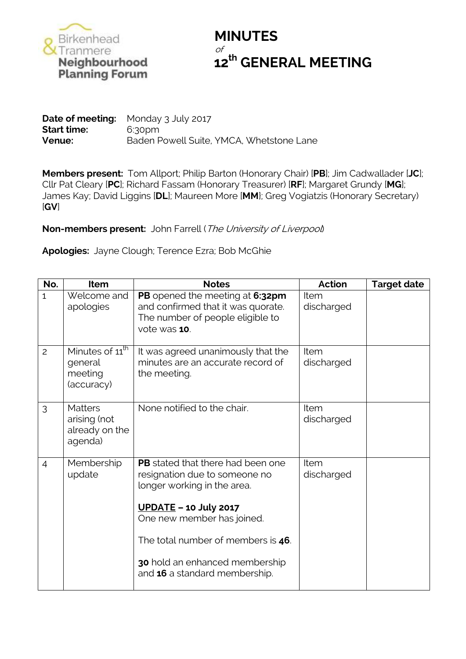

## **MINUTES** of **12<sup>th</sup> GENERAL MEETING**<br> **12<sup>th</sup> GENERAL MEETING**<br>
Planning Forum

**Date of meeting:** Monday 3 July 2017 **Start time:** 6:30pm **Venue:** Baden Powell Suite, YMCA, Whetstone Lane

**Members present:** Tom Allport; Philip Barton (Honorary Chair) [**PB**]; Jim Cadwallader [**JC**]; Cllr Pat Cleary [**PC**]; Richard Fassam (Honorary Treasurer) [**RF**]; Margaret Grundy [**MG**]; James Kay; David Liggins [**DL**]; Maureen More [**MM**}; Greg Vogiatzis (Honorary Secretary) [**GV**]

**Non-members present:** John Farrell (The University of Liverpool)

**Apologies:** Jayne Clough; Terence Ezra; Bob McGhie

| No.            | <b>Item</b>                                                     | <b>Notes</b>                                                                                                                        | <b>Action</b>      | <b>Target date</b> |
|----------------|-----------------------------------------------------------------|-------------------------------------------------------------------------------------------------------------------------------------|--------------------|--------------------|
| $\mathbf{1}$   | Welcome and<br>apologies                                        | PB opened the meeting at 6:32pm<br>and confirmed that it was quorate.<br>The number of people eligible to<br>vote was 10.           | Item<br>discharged |                    |
| $\overline{c}$ | Minutes of 11 <sup>th</sup><br>general<br>meeting<br>(accuracy) | It was agreed unanimously that the<br>minutes are an accurate record of<br>the meeting.                                             | Item<br>discharged |                    |
| 3              | <b>Matters</b><br>arising (not<br>already on the<br>agenda)     | None notified to the chair.                                                                                                         | Item<br>discharged |                    |
| $\overline{4}$ | Membership<br>update                                            | <b>PB</b> stated that there had been one<br>resignation due to someone no<br>longer working in the area.<br>$UPDATE – 10 July 2017$ | Item<br>discharged |                    |
|                |                                                                 | One new member has joined.<br>The total number of members is 46.                                                                    |                    |                    |
|                |                                                                 | 30 hold an enhanced membership<br>and 16 a standard membership.                                                                     |                    |                    |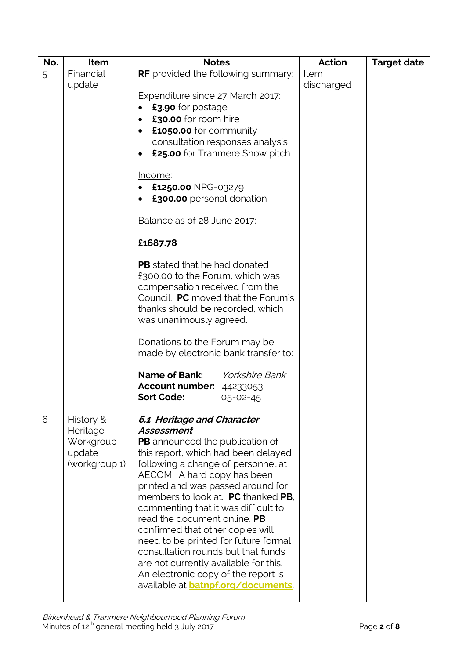| No. | Item                                                          | <b>Notes</b>                                                                                                                                                                                                                                                                                                                                                                                                                                                                                                                                                                                   | <b>Action</b> | <b>Target date</b> |
|-----|---------------------------------------------------------------|------------------------------------------------------------------------------------------------------------------------------------------------------------------------------------------------------------------------------------------------------------------------------------------------------------------------------------------------------------------------------------------------------------------------------------------------------------------------------------------------------------------------------------------------------------------------------------------------|---------------|--------------------|
| 5   | Financial                                                     | <b>RF</b> provided the following summary:                                                                                                                                                                                                                                                                                                                                                                                                                                                                                                                                                      | Item          |                    |
|     | update                                                        | <b>Expenditure since 27 March 2017:</b><br>£3.90 for postage<br>£30.00 for room hire<br>$\bullet$<br>£1050.00 for community<br>$\bullet$<br>consultation responses analysis<br>£25.00 for Tranmere Show pitch<br>$\bullet$                                                                                                                                                                                                                                                                                                                                                                     | discharged    |                    |
|     |                                                               | <u>Income</u> :<br>£1250.00 NPG-03279<br>£300.00 personal donation                                                                                                                                                                                                                                                                                                                                                                                                                                                                                                                             |               |                    |
|     |                                                               | Balance as of 28 June 2017:                                                                                                                                                                                                                                                                                                                                                                                                                                                                                                                                                                    |               |                    |
|     |                                                               | £1687.78                                                                                                                                                                                                                                                                                                                                                                                                                                                                                                                                                                                       |               |                    |
|     |                                                               | <b>PB</b> stated that he had donated<br>£300.00 to the Forum, which was<br>compensation received from the<br>Council. PC moved that the Forum's<br>thanks should be recorded, which<br>was unanimously agreed.                                                                                                                                                                                                                                                                                                                                                                                 |               |                    |
|     |                                                               | Donations to the Forum may be<br>made by electronic bank transfer to:                                                                                                                                                                                                                                                                                                                                                                                                                                                                                                                          |               |                    |
|     |                                                               | <b>Name of Bank:</b><br><i>Yorkshire Bank</i><br>Account number: 44233053<br><b>Sort Code:</b><br>$05 - 02 - 45$                                                                                                                                                                                                                                                                                                                                                                                                                                                                               |               |                    |
| 6   | History &<br>Heritage<br>Workgroup<br>update<br>(workgroup 1) | 6.1 Heritage and Character<br>Assessment<br><b>PB</b> announced the publication of<br>this report, which had been delayed<br>following a change of personnel at<br>AECOM. A hard copy has been<br>printed and was passed around for<br>members to look at. PC thanked PB.<br>commenting that it was difficult to<br>read the document online. PB<br>confirmed that other copies will<br>need to be printed for future formal<br>consultation rounds but that funds<br>are not currently available for this.<br>An electronic copy of the report is<br>available at <b>batnpf.org/documents</b> |               |                    |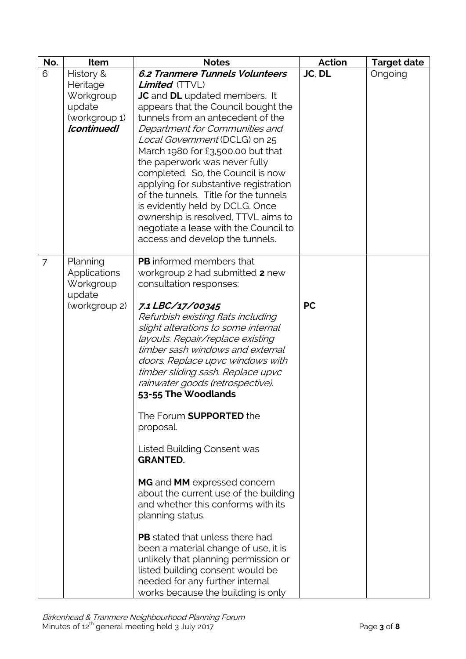| No.            | Item                                                            | <b>Notes</b>                                                                                                                                                                                                                                                                                                                                                                                                                                                                                                                                                           | <b>Action</b> | <b>Target date</b> |
|----------------|-----------------------------------------------------------------|------------------------------------------------------------------------------------------------------------------------------------------------------------------------------------------------------------------------------------------------------------------------------------------------------------------------------------------------------------------------------------------------------------------------------------------------------------------------------------------------------------------------------------------------------------------------|---------------|--------------------|
| 6              | History &                                                       | 6.2 Tranmere Tunnels Volunteers                                                                                                                                                                                                                                                                                                                                                                                                                                                                                                                                        | JC, DL        | Ongoing            |
|                | Heritage<br>Workgroup<br>update<br>(workgroup 1)<br>[continued] | <b>Limited</b> (TTVL)<br><b>JC</b> and <b>DL</b> updated members. It<br>appears that the Council bought the<br>tunnels from an antecedent of the<br>Department for Communities and<br>Local Government (DCLG) on 25<br>March 1980 for £3,500.00 but that<br>the paperwork was never fully<br>completed. So, the Council is now<br>applying for substantive registration<br>of the tunnels. Title for the tunnels<br>is evidently held by DCLG. Once<br>ownership is resolved, TTVL aims to<br>negotiate a lease with the Council to<br>access and develop the tunnels. |               |                    |
| $\overline{7}$ | Planning<br>Applications<br>Workgroup<br>update                 | <b>PB</b> informed members that<br>workgroup 2 had submitted 2 new<br>consultation responses:                                                                                                                                                                                                                                                                                                                                                                                                                                                                          |               |                    |
|                | (workgroup 2)                                                   | 7.1 LBC/17/00345<br>Refurbish existing flats including<br>slight alterations to some internal<br>layouts. Repair/replace existing<br>timber sash windows and external<br>doors. Replace upvc windows with<br>timber sliding sash. Replace upvc<br>rainwater goods (retrospective).<br>53-55 The Woodlands                                                                                                                                                                                                                                                              | <b>PC</b>     |                    |
|                |                                                                 | The Forum <b>SUPPORTED</b> the<br>proposal.                                                                                                                                                                                                                                                                                                                                                                                                                                                                                                                            |               |                    |
|                |                                                                 | Listed Building Consent was<br><b>GRANTED.</b>                                                                                                                                                                                                                                                                                                                                                                                                                                                                                                                         |               |                    |
|                |                                                                 | MG and MM expressed concern<br>about the current use of the building<br>and whether this conforms with its<br>planning status.                                                                                                                                                                                                                                                                                                                                                                                                                                         |               |                    |
|                |                                                                 | <b>PB</b> stated that unless there had<br>been a material change of use, it is<br>unlikely that planning permission or<br>listed building consent would be<br>needed for any further internal<br>works because the building is only                                                                                                                                                                                                                                                                                                                                    |               |                    |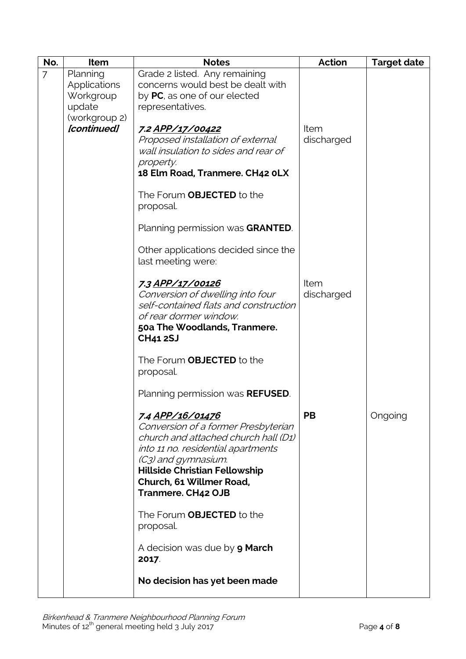| No. | Item                                                             | <b>Notes</b>                                                                                                                                                                                                                                           | <b>Action</b>      | <b>Target date</b> |
|-----|------------------------------------------------------------------|--------------------------------------------------------------------------------------------------------------------------------------------------------------------------------------------------------------------------------------------------------|--------------------|--------------------|
| 7   | Planning<br>Applications<br>Workgroup<br>update<br>(workgroup 2) | Grade 2 listed. Any remaining<br>concerns would best be dealt with<br>by PC, as one of our elected<br>representatives.                                                                                                                                 |                    |                    |
|     | [continued]                                                      | 7.2 APP/17/00422<br>Proposed installation of external<br>wall insulation to sides and rear of<br>property.<br>18 Elm Road, Tranmere. CH42 OLX                                                                                                          | Item<br>discharged |                    |
|     |                                                                  | The Forum <b>OBJECTED</b> to the<br>proposal.                                                                                                                                                                                                          |                    |                    |
|     |                                                                  | Planning permission was GRANTED.                                                                                                                                                                                                                       |                    |                    |
|     |                                                                  | Other applications decided since the<br>last meeting were:                                                                                                                                                                                             |                    |                    |
|     |                                                                  | 7.3 APP/17/00126<br>Conversion of dwelling into four<br>self-contained flats and construction<br>of rear dormer window.<br>50a The Woodlands, Tranmere.<br><b>CH41 2SJ</b>                                                                             | Item<br>discharged |                    |
|     |                                                                  | The Forum OBJECTED to the<br>proposal.                                                                                                                                                                                                                 |                    |                    |
|     |                                                                  | Planning permission was <b>REFUSED</b> .                                                                                                                                                                                                               |                    |                    |
|     |                                                                  | 7.4 APP/16/01476<br>Conversion of a former Presbyterian<br>church and attached church hall (D1)<br>into 11 no. residential apartments<br>(C3) and gymnasium.<br><b>Hillside Christian Fellowship</b><br>Church, 61 Willmer Road,<br>Tranmere. CH42 OJB | <b>PB</b>          | Ongoing            |
|     |                                                                  | The Forum <b>OBJECTED</b> to the<br>proposal.                                                                                                                                                                                                          |                    |                    |
|     |                                                                  | A decision was due by <b>9 March</b><br>2017                                                                                                                                                                                                           |                    |                    |
|     |                                                                  | No decision has yet been made                                                                                                                                                                                                                          |                    |                    |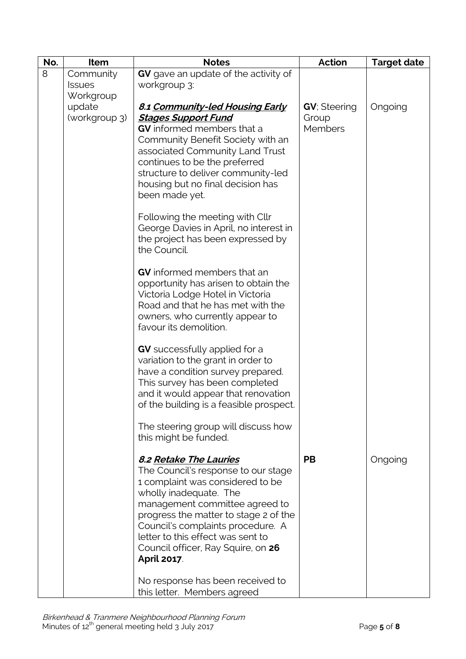| No. | Item                    | <b>Notes</b>                                                                                                                                                                                                                                                                                                                                | <b>Action</b>                                   | <b>Target date</b> |
|-----|-------------------------|---------------------------------------------------------------------------------------------------------------------------------------------------------------------------------------------------------------------------------------------------------------------------------------------------------------------------------------------|-------------------------------------------------|--------------------|
| 8   | Community               | GV gave an update of the activity of                                                                                                                                                                                                                                                                                                        |                                                 |                    |
|     | <b>Issues</b>           | workgroup 3:                                                                                                                                                                                                                                                                                                                                |                                                 |                    |
|     | Workgroup               |                                                                                                                                                                                                                                                                                                                                             |                                                 |                    |
|     | update<br>(workgroup 3) | 8.1 Community-led Housing Early<br><b>Stages Support Fund</b><br><b>GV</b> informed members that a<br>Community Benefit Society with an<br>associated Community Land Trust<br>continues to be the preferred<br>structure to deliver community-led<br>housing but no final decision has<br>been made yet.                                    | <b>GV</b> ; Steering<br>Group<br><b>Members</b> | Ongoing            |
|     |                         | Following the meeting with Cllr<br>George Davies in April, no interest in<br>the project has been expressed by<br>the Council.                                                                                                                                                                                                              |                                                 |                    |
|     |                         | <b>GV</b> informed members that an<br>opportunity has arisen to obtain the<br>Victoria Lodge Hotel in Victoria<br>Road and that he has met with the<br>owners, who currently appear to<br>favour its demolition.                                                                                                                            |                                                 |                    |
|     |                         | <b>GV</b> successfully applied for a<br>variation to the grant in order to<br>have a condition survey prepared.<br>This survey has been completed<br>and it would appear that renovation<br>of the building is a feasible prospect.                                                                                                         |                                                 |                    |
|     |                         | The steering group will discuss how<br>this might be funded.                                                                                                                                                                                                                                                                                |                                                 |                    |
|     |                         | <b>8.2 Retake The Lauries</b><br>The Council's response to our stage<br>1 complaint was considered to be<br>wholly inadequate. The<br>management committee agreed to<br>progress the matter to stage 2 of the<br>Council's complaints procedure. A<br>letter to this effect was sent to<br>Council officer, Ray Squire, on 26<br>April 2017 | <b>PB</b>                                       | Ongoing            |
|     |                         | No response has been received to<br>this letter. Members agreed                                                                                                                                                                                                                                                                             |                                                 |                    |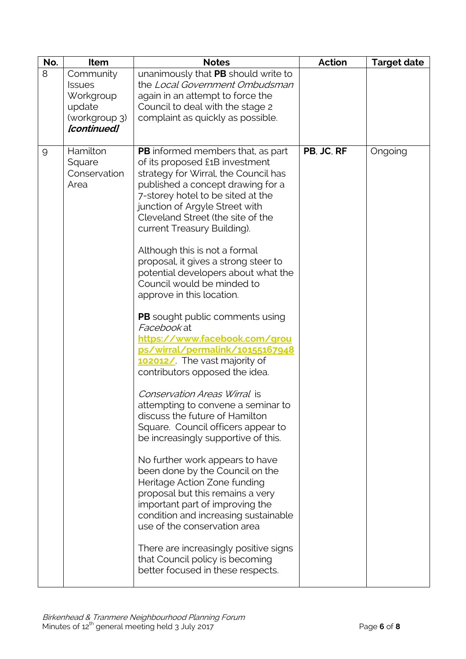| No. | Item                       | <b>Notes</b>                                                           | <b>Action</b> | <b>Target date</b> |
|-----|----------------------------|------------------------------------------------------------------------|---------------|--------------------|
| 8   | Community                  | unanimously that PB should write to                                    |               |                    |
|     | <b>Issues</b><br>Workgroup | the Local Government Ombudsman                                         |               |                    |
|     | update                     | again in an attempt to force the<br>Council to deal with the stage 2   |               |                    |
|     | (workgroup 3)              | complaint as quickly as possible.                                      |               |                    |
|     | [continued]                |                                                                        |               |                    |
|     |                            |                                                                        |               |                    |
| 9   | Hamilton                   | <b>PB</b> informed members that, as part                               | PB, JC, RF    | Ongoing            |
|     | Square<br>Conservation     | of its proposed £1B investment<br>strategy for Wirral, the Council has |               |                    |
|     | Area                       | published a concept drawing for a                                      |               |                    |
|     |                            | 7-storey hotel to be sited at the                                      |               |                    |
|     |                            | junction of Argyle Street with                                         |               |                    |
|     |                            | Cleveland Street (the site of the                                      |               |                    |
|     |                            | current Treasury Building).                                            |               |                    |
|     |                            | Although this is not a formal                                          |               |                    |
|     |                            | proposal, it gives a strong steer to                                   |               |                    |
|     |                            | potential developers about what the                                    |               |                    |
|     |                            | Council would be minded to                                             |               |                    |
|     |                            | approve in this location.                                              |               |                    |
|     |                            | <b>PB</b> sought public comments using                                 |               |                    |
|     |                            | Facebook at                                                            |               |                    |
|     |                            | https://www.facebook.com/grou                                          |               |                    |
|     |                            | ps/wirral/permalink/10155167948                                        |               |                    |
|     |                            | 102012/ The vast majority of<br>contributors opposed the idea.         |               |                    |
|     |                            |                                                                        |               |                    |
|     |                            | Conservation Areas Wirral is                                           |               |                    |
|     |                            | attempting to convene a seminar to                                     |               |                    |
|     |                            | discuss the future of Hamilton<br>Square. Council officers appear to   |               |                    |
|     |                            | be increasingly supportive of this.                                    |               |                    |
|     |                            |                                                                        |               |                    |
|     |                            | No further work appears to have                                        |               |                    |
|     |                            | been done by the Council on the                                        |               |                    |
|     |                            | Heritage Action Zone funding<br>proposal but this remains a very       |               |                    |
|     |                            | important part of improving the                                        |               |                    |
|     |                            | condition and increasing sustainable                                   |               |                    |
|     |                            | use of the conservation area                                           |               |                    |
|     |                            | There are increasingly positive signs                                  |               |                    |
|     |                            | that Council policy is becoming                                        |               |                    |
|     |                            | better focused in these respects.                                      |               |                    |
|     |                            |                                                                        |               |                    |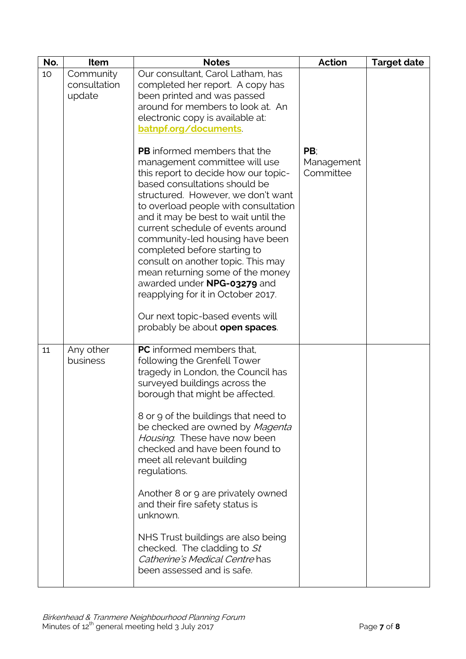| No. | Item                                | <b>Notes</b>                                                                                                                                                                                                                                                                                                                                                                                                                                                                                                                                                                                             | <b>Action</b>                  | <b>Target date</b> |
|-----|-------------------------------------|----------------------------------------------------------------------------------------------------------------------------------------------------------------------------------------------------------------------------------------------------------------------------------------------------------------------------------------------------------------------------------------------------------------------------------------------------------------------------------------------------------------------------------------------------------------------------------------------------------|--------------------------------|--------------------|
| 10  | Community<br>consultation<br>update | Our consultant, Carol Latham, has<br>completed her report. A copy has<br>been printed and was passed<br>around for members to look at. An<br>electronic copy is available at:<br>batnpf.org/documents                                                                                                                                                                                                                                                                                                                                                                                                    |                                |                    |
|     |                                     | <b>PB</b> informed members that the<br>management committee will use<br>this report to decide how our topic-<br>based consultations should be<br>structured. However, we don't want<br>to overload people with consultation<br>and it may be best to wait until the<br>current schedule of events around<br>community-led housing have been<br>completed before starting to<br>consult on another topic. This may<br>mean returning some of the money<br>awarded under NPG-03279 and<br>reapplying for it in October 2017.<br>Our next topic-based events will<br>probably be about <b>open spaces</b> . | PB:<br>Management<br>Committee |                    |
| 11  | Any other<br>business               | <b>PC</b> informed members that.<br>following the Grenfell Tower<br>tragedy in London, the Council has<br>surveyed buildings across the<br>borough that might be affected.<br>8 or 9 of the buildings that need to<br>be checked are owned by Magenta<br>Housing. These have now been<br>checked and have been found to<br>meet all relevant building<br>regulations.<br>Another 8 or 9 are privately owned<br>and their fire safety status is<br>unknown.<br>NHS Trust buildings are also being<br>checked. The cladding to St<br>Catherine's Medical Centre has<br>been assessed and is safe.          |                                |                    |